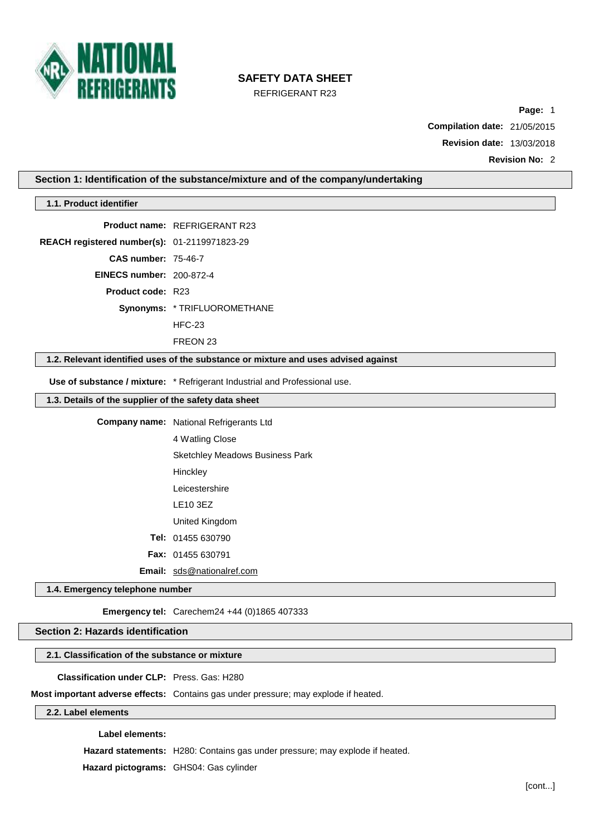

REFRIGERANT R23

**Page:** 1

**Compilation date:** 21/05/2015

**Revision date:** 13/03/2018

**Revision No:** 2

## **Section 1: Identification of the substance/mixture and of the company/undertaking**

| 1.1. Product identifier                               |                                                                                    |  |
|-------------------------------------------------------|------------------------------------------------------------------------------------|--|
|                                                       | <b>Product name: REFRIGERANT R23</b>                                               |  |
| REACH registered number(s): 01-2119971823-29          |                                                                                    |  |
| <b>CAS number: 75-46-7</b>                            |                                                                                    |  |
| <b>EINECS number: 200-872-4</b>                       |                                                                                    |  |
| <b>Product code: R23</b>                              |                                                                                    |  |
|                                                       | Synonyms: * TRIFLUOROMETHANE                                                       |  |
|                                                       | $HEC-23$                                                                           |  |
|                                                       | FREON 23                                                                           |  |
|                                                       | 1.2. Relevant identified uses of the substance or mixture and uses advised against |  |
|                                                       | Use of substance / mixture: * Refrigerant Industrial and Professional use.         |  |
| 1.3. Details of the supplier of the safety data sheet |                                                                                    |  |
|                                                       | <b>Company name:</b> National Refrigerants Ltd                                     |  |
|                                                       | 4 Watling Close                                                                    |  |
|                                                       | <b>Sketchley Meadows Business Park</b>                                             |  |
|                                                       | Hinckley                                                                           |  |
|                                                       | Leicestershire                                                                     |  |
|                                                       | LE10 3EZ                                                                           |  |
|                                                       | United Kingdom                                                                     |  |
|                                                       | Tel: 01455 630790                                                                  |  |
|                                                       | Fax: 01455 630791                                                                  |  |
|                                                       | Email: sds@nationalref.com                                                         |  |
| 1.4. Emergency telephone number                       |                                                                                    |  |
|                                                       | Emergency tel: Carechem24 +44 (0)1865 407333                                       |  |
| Section 2: Hazards identification                     |                                                                                    |  |
|                                                       |                                                                                    |  |
| 2.1. Classification of the substance or mixture       |                                                                                    |  |
| Classification under CLP: Press, Gas: H280            |                                                                                    |  |

#### **Label elements:**

**Hazard statements:** H280: Contains gas under pressure; may explode if heated.

**Hazard pictograms:** GHS04: Gas cylinder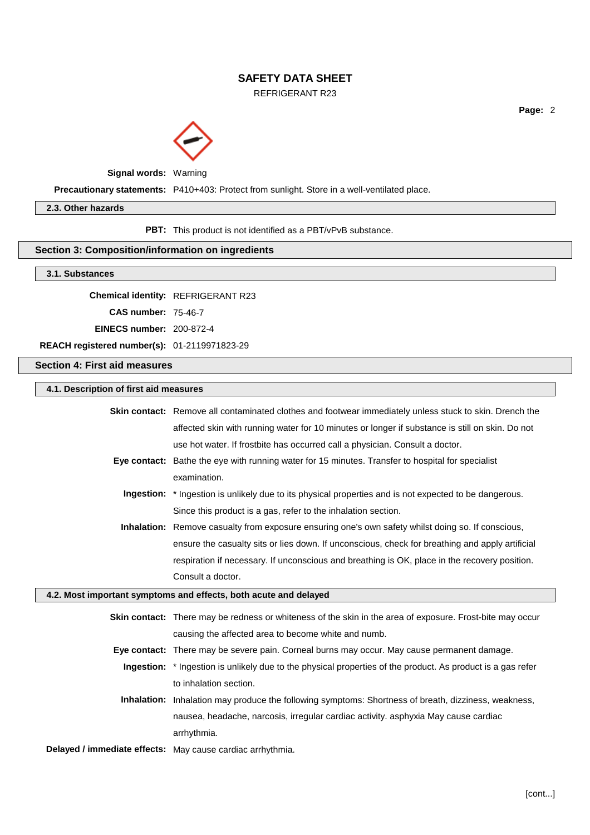REFRIGERANT R23

**Page:** 2



**Signal words:** Warning

**Precautionary statements:** P410+403: Protect from sunlight. Store in a well-ventilated place.

### **2.3. Other hazards**

**PBT:** This product is not identified as a PBT/vPvB substance.

#### **Section 3: Composition/information on ingredients**

#### **3.1. Substances**

**Chemical identity:** REFRIGERANT R23

**CAS number:** 75-46-7

**EINECS number:** 200-872-4

**REACH registered number(s):** 01-2119971823-29

**Section 4: First aid measures**

### **4.1. Description of first aid measures**

| <b>Skin contact:</b> Remove all contaminated clothes and footwear immediately unless stuck to skin. Drench the |
|----------------------------------------------------------------------------------------------------------------|
| affected skin with running water for 10 minutes or longer if substance is still on skin. Do not                |
| use hot water. If frostbite has occurred call a physician. Consult a doctor.                                   |
| Eye contact: Bathe the eye with running water for 15 minutes. Transfer to hospital for specialist              |
| examination.                                                                                                   |
| <b>Ingestion:</b> * Ingestion is unlikely due to its physical properties and is not expected to be dangerous.  |
| Since this product is a gas, refer to the inhalation section.                                                  |
| <b>Inhalation:</b> Remove casualty from exposure ensuring one's own safety whilst doing so. If conscious,      |
| ensure the casualty sits or lies down. If unconscious, check for breathing and apply artificial                |
| respiration if necessary. If unconscious and breathing is OK, place in the recovery position.                  |
| Consult a doctor.                                                                                              |
| 4.2. Most important symptoms and effects, both acute and delayed                                               |
| Skin contact: There may be redness or whiteness of the skin in the area of exposure. Frost-bite may occur      |
| causing the affected area to become white and numb.                                                            |
| Eye contact: There may be severe pain. Corneal burns may occur. May cause permanent damage.                    |
| Ingestion: * Ingestion is unlikely due to the physical properties of the product. As product is a gas refer    |
| to inhalation section.                                                                                         |

- **Inhalation:** Inhalation may produce the following symptoms: Shortness of breath, dizziness, weakness, nausea, headache, narcosis, irregular cardiac activity. asphyxia May cause cardiac arrhythmia.
- **Delayed / immediate effects:** May cause cardiac arrhythmia.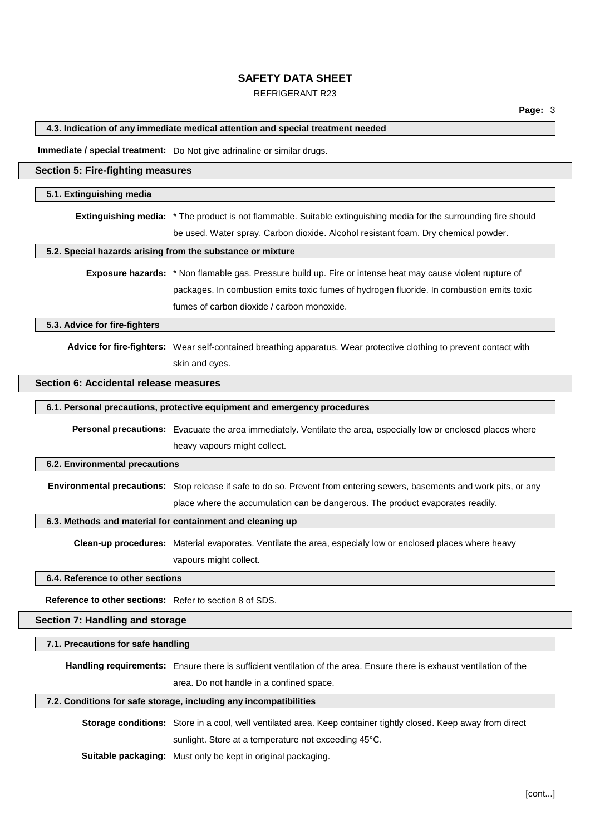## REFRIGERANT R23

### **4.3. Indication of any immediate medical attention and special treatment needed**

**Immediate / special treatment:** Do Not give adrinaline or similar drugs.

### **Section 5: Fire-fighting measures**

#### **5.1. Extinguishing media**

**Extinguishing media:** \* The product is not flammable. Suitable extinguishing media for the surrounding fire should be used. Water spray. Carbon dioxide. Alcohol resistant foam. Dry chemical powder.

### **5.2. Special hazards arising from the substance or mixture**

**Exposure hazards:** \* Non flamable gas. Pressure build up. Fire or intense heat may cause violent rupture of packages. In combustion emits toxic fumes of hydrogen fluoride. In combustion emits toxic fumes of carbon dioxide / carbon monoxide.

**5.3. Advice for fire-fighters**

**Advice for fire-fighters:** Wear self-contained breathing apparatus. Wear protective clothing to prevent contact with skin and eyes.

## **Section 6: Accidental release measures**

## **6.1. Personal precautions, protective equipment and emergency procedures**

**Personal precautions:** Evacuate the area immediately. Ventilate the area, especially low or enclosed places where heavy vapours might collect.

#### **6.2. Environmental precautions**

**Environmental precautions:** Stop release if safe to do so. Prevent from entering sewers, basements and work pits, or any place where the accumulation can be dangerous. The product evaporates readily.

#### **6.3. Methods and material for containment and cleaning up**

**Clean-up procedures:** Material evaporates. Ventilate the area, especialy low or enclosed places where heavy vapours might collect.

#### **6.4. Reference to other sections**

**Reference to other sections:** Refer to section 8 of SDS.

### **Section 7: Handling and storage**

#### **7.1. Precautions for safe handling**

**Handling requirements:** Ensure there is sufficient ventilation of the area. Ensure there is exhaust ventilation of the area. Do not handle in a confined space.

#### **7.2. Conditions for safe storage, including any incompatibilities**

**Storage conditions:** Store in a cool, well ventilated area. Keep container tightly closed. Keep away from direct sunlight. Store at a temperature not exceeding 45°C.

**Suitable packaging:** Must only be kept in original packaging.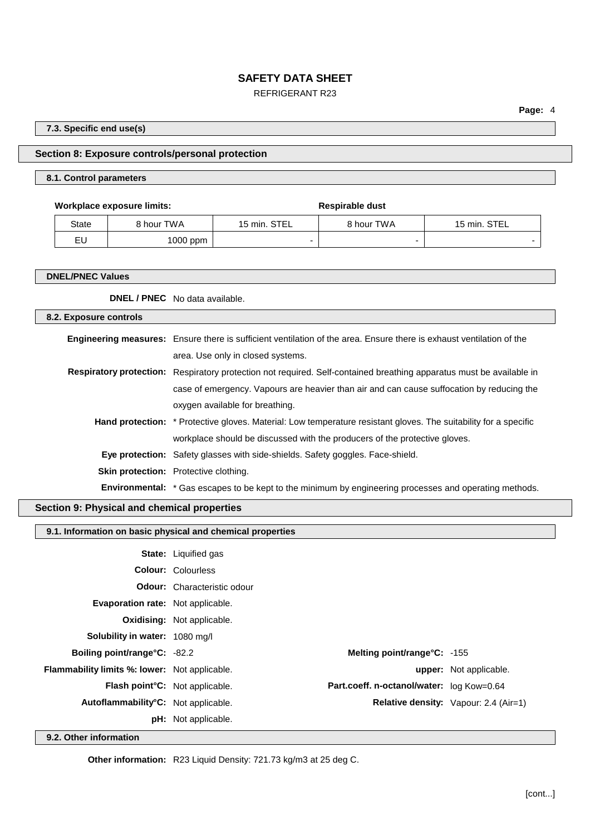## REFRIGERANT R23

**Page:** 4

**7.3. Specific end use(s)**

## **Section 8: Exposure controls/personal protection**

## **8.1. Control parameters**

**Workplace exposure limits: Respirable** dust State 8 hour TWA 15 min. STEL 8 hour TWA 15 min. STEL

| EL                      | 1000 ppm | - | - |  |
|-------------------------|----------|---|---|--|
|                         |          |   |   |  |
|                         |          |   |   |  |
| <b>DNEL/PNEC Values</b> |          |   |   |  |

| <b>DNEL / PNEC</b> No data available. |
|---------------------------------------|
|---------------------------------------|

| 8.2. Exposure controls |                                                                                                                             |
|------------------------|-----------------------------------------------------------------------------------------------------------------------------|
|                        | <b>Engineering measures:</b> Ensure there is sufficient ventilation of the area. Ensure there is exhaust ventilation of the |
|                        | area. Use only in closed systems.                                                                                           |
|                        | Respiratory protection: Respiratory protection not required. Self-contained breathing apparatus must be available in        |
|                        | case of emergency. Vapours are heavier than air and can cause suffocation by reducing the                                   |
|                        | oxygen available for breathing.                                                                                             |
|                        | <b>Hand protection:</b> * Protective gloves. Material: Low temperature resistant gloves. The suitability for a specific     |
|                        | workplace should be discussed with the producers of the protective gloves.                                                  |
|                        | Eye protection: Safety glasses with side-shields. Safety goggles. Face-shield.                                              |
|                        | <b>Skin protection:</b> Protective clothing.                                                                                |
|                        | <b>Environmental:</b> * Gas escapes to be kept to the minimum by engineering processes and operating methods.               |

# **Section 9: Physical and chemical properties**

## **9.1. Information on basic physical and chemical properties**

|                                                      | <b>State:</b> Liquified gas        |                                           |                                              |
|------------------------------------------------------|------------------------------------|-------------------------------------------|----------------------------------------------|
|                                                      | <b>Colour: Colourless</b>          |                                           |                                              |
|                                                      | <b>Odour:</b> Characteristic odour |                                           |                                              |
| <b>Evaporation rate:</b> Not applicable.             |                                    |                                           |                                              |
|                                                      | <b>Oxidising:</b> Not applicable.  |                                           |                                              |
| <b>Solubility in water: 1080 mg/l</b>                |                                    |                                           |                                              |
| <b>Boiling point/range°C: -82.2</b>                  |                                    | Melting point/range°C: -155               |                                              |
| <b>Flammability limits %: lower:</b> Not applicable. |                                    |                                           | <b>upper:</b> Not applicable.                |
| <b>Flash point C:</b> Not applicable.                |                                    | Part.coeff. n-octanol/water: log Kow=0.64 |                                              |
| Autoflammability <sup>°</sup> C: Not applicable.     |                                    |                                           | <b>Relative density:</b> Vapour: 2.4 (Air=1) |
|                                                      | <b>pH:</b> Not applicable.         |                                           |                                              |

**9.2. Other information**

**Other information:** R23 Liquid Density: 721.73 kg/m3 at 25 deg C.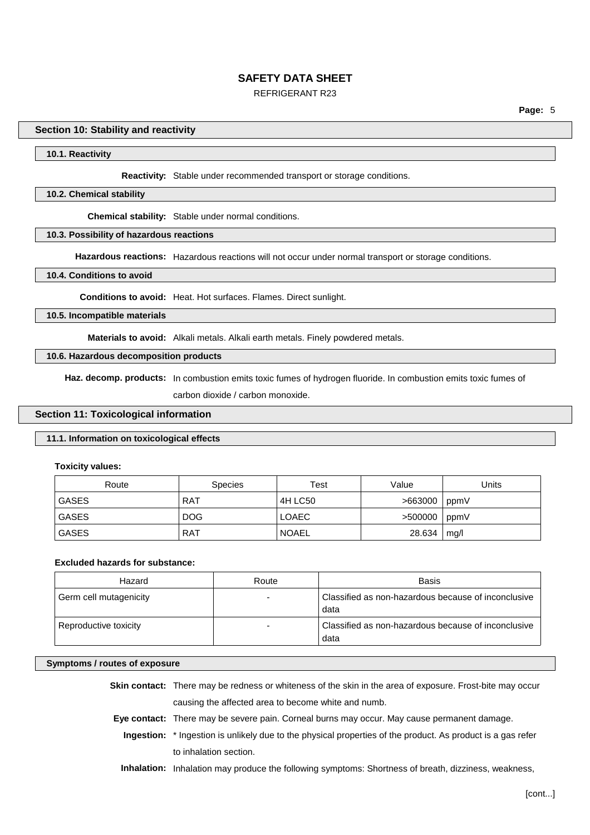## REFRIGERANT R23

### **Section 10: Stability and reactivity**

#### **10.1. Reactivity**

**Reactivity:** Stable under recommended transport or storage conditions.

#### **10.2. Chemical stability**

**Chemical stability:** Stable under normal conditions.

## **10.3. Possibility of hazardous reactions**

**Hazardous reactions:** Hazardous reactions will not occur under normal transport or storage conditions.

#### **10.4. Conditions to avoid**

**Conditions to avoid:** Heat. Hot surfaces. Flames. Direct sunlight.

## **10.5. Incompatible materials**

**Materials to avoid:** Alkali metals. Alkali earth metals. Finely powdered metals.

### **10.6. Hazardous decomposition products**

**Haz. decomp. products:** In combustion emits toxic fumes of hydrogen fluoride. In combustion emits toxic fumes of carbon dioxide / carbon monoxide.

## **Section 11: Toxicological information**

## **11.1. Information on toxicological effects**

**Toxicity values:**

| Route        | <b>Species</b> | Test         | Value   | Units |
|--------------|----------------|--------------|---------|-------|
| <b>GASES</b> | <b>RAT</b>     | 4H LC50      | >663000 | ppmV  |
| <b>GASES</b> | <b>DOG</b>     | <b>LOAEC</b> | >500000 | ppmV  |
| <b>GASES</b> | <b>RAT</b>     | <b>NOAEL</b> | 28.634  | mq/l  |

## **Excluded hazards for substance:**

| Hazard                 | Route | Basis                                                       |
|------------------------|-------|-------------------------------------------------------------|
| Germ cell mutagenicity |       | Classified as non-hazardous because of inconclusive<br>data |
| Reproductive toxicity  |       | Classified as non-hazardous because of inconclusive<br>data |

#### **Symptoms / routes of exposure**

**Skin contact:** There may be redness or whiteness of the skin in the area of exposure. Frost-bite may occur causing the affected area to become white and numb.

- **Eye contact:** There may be severe pain. Corneal burns may occur. May cause permanent damage.
	- **Ingestion:** \* Ingestion is unlikely due to the physical properties of the product. As product is a gas refer to inhalation section.
	- **Inhalation:** Inhalation may produce the following symptoms: Shortness of breath, dizziness, weakness,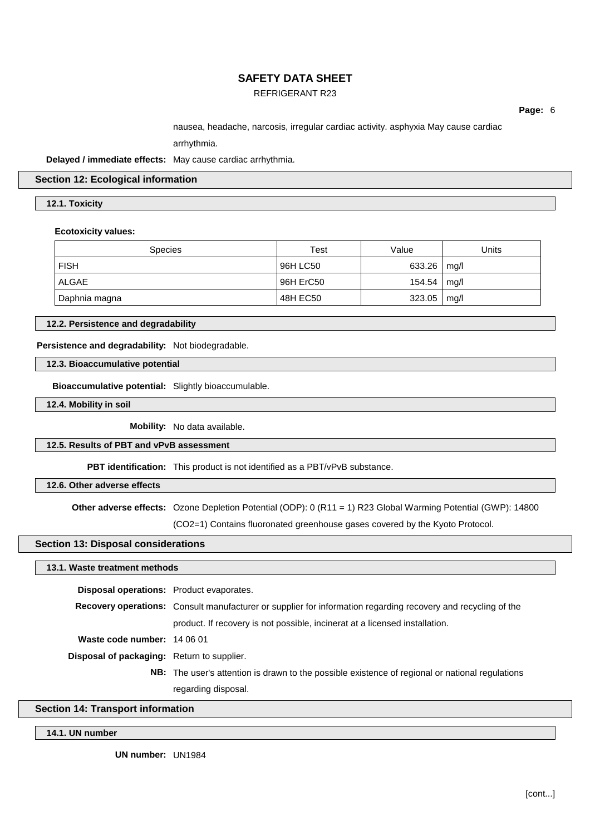## REFRIGERANT R23

**Page:** 6

nausea, headache, narcosis, irregular cardiac activity. asphyxia May cause cardiac

arrhythmia.

**Delayed / immediate effects:** May cause cardiac arrhythmia.

## **Section 12: Ecological information**

## **12.1. Toxicity**

### **Ecotoxicity values:**

| <b>Species</b> | Test      | Value  | Units |
|----------------|-----------|--------|-------|
| <b>FISH</b>    | 96H LC50  | 633.26 | mq/l  |
| <b>ALGAE</b>   | 96H ErC50 | 154.54 | mq/l  |
| Daphnia magna  | 48H EC50  | 323.05 | mg/l  |

**12.2. Persistence and degradability**

**Persistence and degradability:** Not biodegradable.

**12.3. Bioaccumulative potential**

**Bioaccumulative potential:** Slightly bioaccumulable.

**12.4. Mobility in soil**

**Mobility:** No data available.

## **12.5. Results of PBT and vPvB assessment**

**PBT identification:** This product is not identified as a PBT/vPvB substance.

## **12.6. Other adverse effects**

**Other adverse effects:** Ozone Depletion Potential (ODP): 0 (R11 = 1) R23 Global Warming Potential (GWP): 14800

(CO2=1) Contains fluoronated greenhouse gases covered by the Kyoto Protocol.

### **Section 13: Disposal considerations**

### **13.1. Waste treatment methods**

| <b>Disposal operations:</b> Product evaporates.   |                                                                                                                      |
|---------------------------------------------------|----------------------------------------------------------------------------------------------------------------------|
|                                                   | <b>Recovery operations:</b> Consult manufacturer or supplier for information regarding recovery and recycling of the |
|                                                   | product. If recovery is not possible, incinerat at a licensed installation.                                          |
| Waste code number: 14 06 01                       |                                                                                                                      |
| <b>Disposal of packaging:</b> Return to supplier. |                                                                                                                      |
|                                                   | NB: The user's attention is drawn to the possible existence of regional or national regulations                      |
|                                                   | regarding disposal.                                                                                                  |

## **Section 14: Transport information**

**14.1. UN number**

**UN number:** UN1984